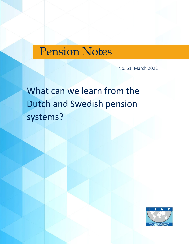# Pension Notes

No. 61, March 2022

# What can we learn from the Dutch and Swedish pension systems?

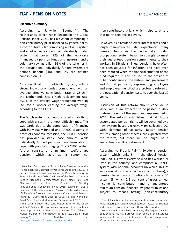## **Executive Summary**

According to Janwillem  $<sup>1</sup>$ , The</sup> Netherlands, which ranks second in the Global Pension Index 2021, has a system comprising a non-contributory pillar financed by general taxes; a contributory pillar comprising a PAYGO system and a collective occupational individually funded system that covers 92% of the workforce (managed by pension funds and insurers); and a voluntary savings pillar. 95% of the schemes in the occupational individually funded system are defined benefit (DB), and 5% are defined contribution (DC).

As a result of this multi-pillar system, with a strong individually funded component (with an average effective contribution rate of  $25.1\%/$ , the Netherlands has a high replacement rate: 69.7% of the average wage throughout working life, for a worker earning the average wage, according to the OECD.

The Dutch system had demonstrated an ability to cope with crises in the most difficult times. This was partly due to the combination of financing with individually funded and PAYGO systems. In times of economic recession, the PAYGO pension has provided a stable base amount, while individually funded pensions have been able to cope with population aging. The PAYGO system further consists of a minimum welfare-type pension, which acts as a safety net

<https://stat.link/files/ca401ebd-en/h4uwj7.xlsx>

(non-contributory pillar), which helps to ensure that no retirees live in poverty.

However, as a result of lower interest rates and a longer-than-projected life expectancy, many pension funds in the individually funded occupational system began to struggle to meet their guaranteed pension commitments to their workers in DB plans. Thus, pensions have often not been adjusted for inflation, and have even been reduced when the financial situation of the fund required it. This has led to the erosion of public confidence in the system, and government and "social partners", representing employers and employees, negotiating a profound reform of the occupational pension system, over the last 10 years.

Discussion of this reform should conclude in 2022, with a law expected to be passed in 2022 (before the end of the year), and implemented in 2027. The reform establishes that all future accumulated pension rights will be governed by a new system based exclusively on collective DC, with elements of solidarity. Better pension returns, among other aspects, are expected from the reform, but there will no longer be a guaranteed result on retirement.

According to Fredrik Palm<sup>3</sup>, Sweden's pension system, which ranks 8th in the Global Pension Index 2021, covers everyone who has worked or lived in the country, and comprises a PAYGO system with notional accounts (in which 16% of gross annual income is paid in as contributions); a pension based on contributions to a private CD system (in which 2.5 per cent of gross annual income is contributed); and a guaranteed minimum pension, financed by general taxes and subject to means testing (non-contributory

<sup>1</sup> Janwillem Bouma studied Economics at Erasmus University. He has been the Chairman of PensionsEurope since 2015. He has also been a Board member of the Dutch Federation of Pension Funds since 2014, Chairman of the Board of Centraal Beheer Algemeen Pensioenfonds (APF) since 2019 and Chairman of the Board of Directors of Stichting Pensioenfonds Hoogovens since 2019. Janwillem was a member of the Occupational Pensions Stakeholder Group (OPSG) of the European Insurance and Occupational Pensions Authority (EIOPA) from 2015 to 2018. He also worked at Royal Dutch Shell and Montae and Partners until 2019.

<sup>&</sup>lt;sup>2</sup> This data includes the contribution rate to the public system (18%), and the average contributions to occupational pension plans. Source: Pensions at a Glance 2021 ("Table 8.1. Mandatory pension contribution rates in 2020 (% of gross earnings"). Available at:

<sup>&</sup>lt;sup>3</sup> Fredrik Palm is a product management professional with an M.Sc. majoring in Mathematical Statistics, Actuarial Sciences and Finance, from Stockholm University, Sweden. He is currently the Product Lead at Alecta, the largest Swedish pension fund. He has a proven track record in the insurance industry and is an expert in financial risk, risk management, life insurance and pension funds.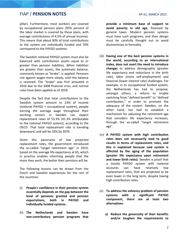pillar). Furthermore, most workers are covered by occupational pension plans (95% percent of the labor market is covered by these plans, with average contributions of 4.5% of annual income). This means that about 30% of total contributions to the system are individually funded and 70% correspond to the PAYGO systems.

The Swedish notional PAYGO system must also be balanced with contribution assets equal to or greater than pension liabilities. When liabilities are greater than assets, the automatic balance, commonly known as "brake", is applied. Pensions rise against wages more slowly, until the balance is restored. The "brake" was first activated in 2010 due to the 2008 financial crisis, and normal rules have been applied as of 2018.

Despite the fact that total contributions to the Swedish system amount to 23% of income (notional PAYGO + occupational system), people earning the average wage throughout their working careers in Sweden can expect replacement rates of 53.3% (41.3% attributable to the notional PAYGO system), according to the OECD. That total replacement rate is trending downward, and will be 33% by 2070.

Given this panorama of low projected replacement rates, the government introduced the so-called "target retirement age" in 2019, based on the average life expectancy at 65, which in practice enables informing people that the more they work, the better their pensions will be.

The following lessons can be drawn from the Dutch and Swedish experiences for the rest of the countries:

- (i) **People's confidence in their pension system essentially depends on the gap between the level of pensions granted and pension expectations, both in PAYGO and individually funded systems.**
- (ii) **The Netherlands and Sweden have non-contributory pension programs that**

**provide a minimum base of support to avoid poverty in old age**, financed by general taxes. Modern pension systems must have such programs, and their design must be carefully thought out to avoid disincentives to formality.

- (iii) **Having one of the best pension systems in the world, according to an international index, does not avert the need to introduce changes** to address demographic (greater life expectancy and reductions in the birth rate), labor (more self-employment) and financial (lower interest rate) challenges. For example, in its occupational funded system, the Netherlands has had to propose, amongst others, a reform to enable switching from "defined benefit" to "defined contribution," in order to promote the adequacy of the system. Sweden, on the other hand, has had to establish a mechanism for adjusting the retirement age that considers life expectancy increases, through the so-called "target retirement age".
- (iv) **A PAYGO system with high contribution rates does not necessarily lead to good results in terms of replacement rates, and this is explained because said system is affected by the aging of the population (greater life expectancy upon retirement and lower birth rates)**. Sweden is proof that a mostly PAYGO system with notional accounts can have relatively low replacement rates, that are projected to be even lower in the long term, despite having high contribution rates.
- (v) **To address the solvency problem of pension systems with a significant PAYGO component, there are at least two alternatives**:
	- **a) Reduce the generosity of their benefits and/or toughen the requirements to**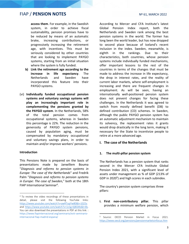**access them**. For example, in the Swedish system, in order to achieve fiscal sustainability, pension promises have to be reduced by means of an automatic brake, increasing contributions, or progressively increasing the retirement age, with incentives. This must be seriously considered by other countries that are looking to implement PAYGO systems, starting from an initial situation where the system is fully funded.

- **b) Link the retirement age according to the increase in life expectancy**. The Netherlands and Sweden have incorporated this feature into their PAYGO systems.
- (vi) **Individually funded occupational pension systems and voluntary savings systems will play an increasingly important role in complementing the pensions granted by the PAYGO system**. In the Netherlands, 58% of the total pension comes from occupational systems, whereas in Sweden this percentage is 22%. The reduction in the generosity of PAYGO system pensions, caused by population aging, must be compensated by mandatory occupational and voluntary savings plans, in order to maintain and/or improve workers' pensions.

## **Introduction**

This Pensions Note is prepared on the basis of presentations made by Janwillem Bouma "*Diagnosis and reforms to pension systems in Europe: The case of the Netherlands*" and Fredrik Palm "*Diagnosis and reforms to pension systems in Europe: The case of Sweden,*" both at the 18th FIAP International Seminar<sup>4</sup>.

According to Mercer and CFA Institute's latest Global Pension Index report, both the Netherlands and Sweden rank among the best pension systems in the world. The former has long been the world leader, but has now dropped to second place because of Iceland's recent inclusion in the index. Sweden, meanwhile, is eighth in the rankings. Due to their characteristics, both countries, whose pension systems include individually funded mechanisms, offer important lessons to the rest of the countries in terms of the changes that must be made to address the increase in life expectancy, the drop in interest rates, and the reality of current labor markets, where self-employment is increasing and there are frequent changes in employment. As will be seen, having an internationally well-positioned pension system does not prevent changes for facing these challenges. In the Netherlands it was agreed to switch from mostly defined benefit (DB) to defined contribution (CD) schemes. In Sweden, although the public PAYGO pension system has an automatic adjustment mechanism to maintain its solvency, the replacement rates it grants would drop drastically in the long term, making it necessary for the State to incentivize people to retire at a more advanced age.

## **I. The case of the Netherlands**

#### **1. The multi-pillar pension system**

The Netherlands has a pension system that ranks second in the Mercer CFA Institute Global Pension Index 2021, with a significant level of assets under management as % of GDP (213% of GDP in 2020<sup>5</sup>) and high scores in each subindex.

The country's pension system comprises three pillars:

**i. First non-contributory pillar.** This pillar provides a minimum welfare pension, which

<sup>4</sup> To review the video recordings of these presentations in detail, please visit the following YouTube links: <https://www.youtube.com/watch?v=awRTsqiYw80&t=1025s> and [https://www.youtube.com/watch?v=1z1g-KjBGMs&t=8s.](https://www.youtube.com/watch?v=1z1g-KjBGMs&t=8s) You can also download the presentations in PDF at this link: : [https://www.fiapinternacional.org/seminario/xviii-seminario](https://www.fiapinternacional.org/seminario/xviii-seminario-internacional-fiap-madrid-espana/)[internacional-fiap-madrid-espana/](https://www.fiapinternacional.org/seminario/xviii-seminario-internacional-fiap-madrid-espana/)

<sup>5</sup> Source: OECD Pension Market in Focus 2021. <https://www.oecd.org/pensions/pensionmarketsinfocus.htm>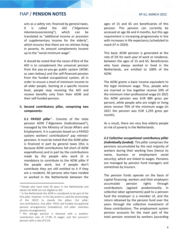acts as a safety net, financed by general taxes. It is called the AIO ("*Algemene Inkomensvoorziening*"), which can be translated as "additional income or provision of supplementary income for the elderly", which ensures that there are no retirees living in poverty. Its amount complements income up to the "social minimum wage".

It should be noted that the raison d'être of the AIO is to complement the universal pension from the pay-as-you-go public system (AOW; as seen below $_6$ ) and the self-financed pension from the funded occupational system, all in order to ensure a level of minimum income to all older people. Starting at a specific income level, people stop receiving the AIO and receive benefits only from their AOW and their self-funded pension.

## **ii. Second contributory pillar, comprising two components:**

ii.1 PAYGO pillar<sup>7</sup>. Consists of the state pension AOW ("*Algemene Ouderdomswet*"), managed by the Ministry of Social Affairs and Employment. It is a pension based on a PAYGO system: workers' contributions<sup>8</sup> pay retirees' pensions. It must be noted that the AOW pillar is financed in part by general taxes (this is because AOW contributions fall short of AOW expenditures) and in part by the contributions made by the people who work (it is mandatory to contribute to the AOW pillar if the people work, but if people don't contribute they are still entitled to it if they are a resident). All persons who have resided or worked in the Netherlands between the

ages of 15 and 65 are beneficiaries of this pension. This pension can currently be accessed at age 66 and 4 months, but this age requirement is increasing progressively in line with increases in life expectancy (scheduled to reach 67 in 2024).

This basic AOW pension is generated at the rate of 2% for each year of work or residence, between the ages of 15 and 65. Beneficiaries who have always worked or lived in the Netherlands, are entitled to 100% of the AOW.

The AOW grants a basic income equivalent to the legal minimum wage. Thus, people who are married or live together receive 50% of the minimum inter-professional wage (in 2021 the AOW pension was EUR 884 gross per person), while people who are single or living alone receive 70% of the minimum wage (in 2021 the pension was EUR 1,293 gross per month).

As a result, there are very few elderly people at risk of poverty in the Netherlands.

*ii.2 Collective occupational contributory pillar (individually funded).* This pillar comprises the pensions accumulated by the vast majority of workers during their working lives (hence its name, business or employment social security), which are linked to wages. Pensions are managed by pension fund managers and sometimes by insurers.

The pension funds operate on the basis of capital financing: workers and their employers accumulate pension rights through contributions (agreed predominantly in collective labor agreements) paid to a pension fund the employer is a member of, and the return obtained by the pension fund over the years through the collective investment of these contributions. The employment system pension accounts for the main part of the total pension received by workers (according

<sup>6</sup> People who have lived 50 years in the Netherlands and obtain full AOW are not eligible to AIO.

<sup>&</sup>lt;sup>7</sup> In the Netherlands the AOW is considered to be part of the first pillar. However, in this document is used the terminology of the OECD to classify the pillars [1st pillar: non-contributory; 2nd pillar: PAYG and funded occupational pension arrangements (mandatory); 3rd pillar: voluntary pension arrangements].

<sup>8</sup> The old-age pension is financed with a workers' contribution rate of 17.9% of wages, and the survivor's pension with a rate of 0.1%.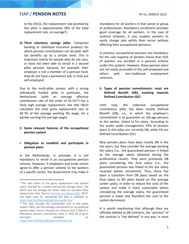to the OECD, the replacement rate granted by this pillar is approximately 58% of the total replacement rate, on average<sup>9</sup>).

**iii. Third voluntary savings pillar.** Comprises banking or individual insurance products for which pension contributions can be paid, with tax benefits up to a certain level. This is important mainly for people who do not save, or have not been able to enroll in a second pillar pension, because, for example, their employer is not a member of a pension fund, they do not have a permanent job, or they are self-employed.

Due to the multi-pillar system, with a strong individually funded pillar in particular, the Netherlands (with an average effective contribution rate of the order of  $25.1\%^{10}$ ) has a fairly high average replacement rate (the OECD calculates the total gross replacement rate at 69.7% of the average working life wage, for a worker earning the average wage).

## **2. Some relevant features of the occupational pension system**

## **i. Obligation to establish and participate in pension plans**

In the Netherlands, in principle, it is not mandatory to enroll in an occupational pension scheme. However, if employers and trade unions agree to offer a pension scheme to the workers of a specific sector, the Government may make it mandatory for all workers in that sector or group of professionals. Mandatory enrollment provides good coverage for all workers. In the case of sectoral schemes, it also enables workers to easily change jobs within their sector without affecting their occupational pensions.

In practice, occupational pensions are mandatory for the vast majority of workers (more than 92% of workers are enrolled in a pension scheme under this system). However, these pension plans are not easily accessible to the self-employed and others with non-traditional employment contracts.

## **ii. Types of pension commitments: most are Defined Benefit (DB), evolving towards Defined Contribution (DC)**

Until now, the collective occupational contributory pillar has been mostly Defined Benefit (DB), i.e., in which the employer's commitment is to guarantee an old-age pension to the worker, linked to his salary. According to the assets under management, 95% of pension plans in this pillar are currently DB, while 5% are Defined Contribution (DC).

New pension plans have been mostly DB in the last years, but they consider the average working life salary (i.e., the guaranteed pension is linked to the average salary obtained during the professional career). They were previously DB plans considering the final salary (i.e., the guaranteed pension was linked to the last salary received before retirement). Thus, there has been a transition from DB plans based on the final salary to BD plans based on the average career salary, in order to reduce the costs of the system and make it more sustainable (when considering the average salary, the guaranteed pension is lower and therefore the cost to the system decreases).

<sup>&</sup>lt;sup>9</sup> This data refers to the gross replacement rate (before taxes) received by a worker earning the average salary. The OECD uses the average full career salary to calculate these replacement rates. Source: [Pensions at a Glance 2021,](https://www.oecd.org/els/public-pensions/oecd-pensions-at-a-glance-19991363.htm) OECD. The table used for calculating the data is available at: <https://stat.link/files/ca401ebd-en/uwc8nt.xlsx>

<sup>&</sup>lt;sup>10</sup> This data includes the contribution rate to the public system (18%), and the average contributions to occupational pension plans. Source: Pensions at a Glance 2021 ("Table 8.1. Mandatory pension contribution rates in 2020 (% of gross earnings"). Available at: <https://stat.link/files/ca401ebd-en/h4uwj7.xlsx>

It is worth mentioning that although they are officially labeled as DB contracts, the "pension" of the contract is "not defined" in any way. In most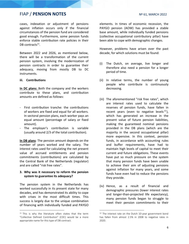cases, indexation or adjustment of pensions against inflation occurs only if the financial circumstances of the pension fund are considered good enough. Furthermore, some pension funds enforce stable contribution rate policies in their DB contracts<sup>11</sup>.

Between 2022 and 2026, as mentioned below, there will be a transformation of the current pension system, involving the modernization of pension contracts in order to guarantee their adequacy, moving from mostly DB to DC instruments.

## **iii. Contributions**

**In DC plans:** Both the company and the workers contribute to these plans, and contribution amounts are defined as follows:

- First contribution tranche: the contributions of workers are fixed and equal for all workers. In sectoral pension plans, each worker pays an equal amount (percentage of salary or fixed amount).
- The employer's contribution is variable (usually around 2/3 of the total contribution).

**In DB plans**: The pension amount depends on the number of years worked and the salary. The interest rates used for calculating the net present value of accrued entitlements and pension commitments (contributions) are calculated by the Central Bank of the Netherlands (regulator) and are called "risk free rates".

## **3. Why was it necessary to reform the pension system to guarantee its adequacy?**

The pension system in the Netherlands has worked successfully in its present state for many decades, and has demonstrated its ability to cope with crises in the most difficult times. This success is largely due to the unique combination of financing with individually funded and PAYGO elements. In times of economic recession, the PAYGO pension (AOW) has provided a stable base amount, while individually funded pensions (collective occupational contributory pillar) have been able to cope with demographic changes.

However, problems have arisen over the past decade, for which solutions must be found:

- (i) The Dutch, on average, live longer and therefore also need a pension for a longer period of time.
- (ii) In relative terms, the number of young people who contribute is continuously decreasing.
- (iii) The aforementioned "risk free rates", which are interest rates used to calculate the reserves of pension funds, have fallen in recent years (even to negative levels<sup>12</sup>), which has generated an increase in the present value of future pension liabilities, making the guaranteed nominal pensions provided in the DB plans (which are the majority in the second occupational pillar) more expensive. In this context, pension funds, in accordance with accounting rules and buffer requirements, have had to maintain high levels of capital to meet their current and future obligations. These events have put so much pressure on the system that many pension funds have been unable to achieve their aim of adjusting pensions against inflation for many years, and some funds have even had to reduce the pensions they provide.
- (iv) Hence, as a result of financial and demographic pressures (lower interest rates and longer-than-projected life expectancy), many pension funds began to struggle to meet their pension commitments to their

 $11$  This is why the literature often states that the term "Collective Defined Contribution" (CDC) would be a more appropriate name for this type of DB contract.

<sup>&</sup>lt;sup>12</sup> The interest rate on the Dutch 10-year government bond has fallen from almost 2.5% in 2008 to negative rates in 2020.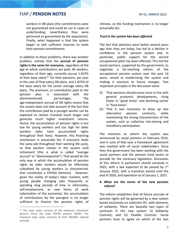workers in DB plans (the commitments were not guaranteed and could be cut in cases of underfunding; nevertheless they were perceived as guaranteed by the population). Finally, what happened is that the system began to lack sufficient reserves to meet their pension commitments.

In addition to these problems, there was another problem, namely that the **accrual of pension rights is the same for everyone,** regardless of the age at which contributions are paid. All workers, regardless of their age, currently accrue 1.657% of their base salary<sup>13</sup> for their pensions, per year in the case of final salary DB plans, and 1.875% of the base salary for full career average salary DB plans. The premium, or contribution paid to the pension plan, is associated with the aforementioned percentages. The age-independent accrual of DB rights means that the system does not take account of the fact that the contribution paid by a younger worker can be expected to remain invested much longer and generate much higher investment returns. Hence, the accumulation of pension rights is too low for young workers and too high for older workers (who have accumulated rights throughout their lives). However, this financing mechanism is actuarially fair if everyone holds the same job throughout their working life-cycle, so that workers remain in the system until retirement (this is what is called "average accrual" or "*doorsneepremie*"). That would be the only way in which the accumulation of pension rights by older workers would be effectively subsidized by young workers (a characteristic that constitutes a PAYGO element). However, given the reality of today's labor markets, with young people changing jobs frequently or spending long periods of time in informality, self-employment, or new forms of work (uberization of the economy), the accumulation of contributions by the youngest is no longer sufficient to finance the pension rights of retirees, so this funding mechanism is no longer actuarially fair.

#### *Trust in the system has been affected*

The fact that pensions were better several years ago than they are today, has led to a decline in confidence in the pension system and, in particular, public support for the second occupational pillar has been affected. This led the social partners, supported by the government, to negotiate a far-reaching reform of the occupational pension system over the past 10 years, aimed at modernizing the system and making it resistant to future changes. Two important principles in the discussion were:

- (i) That pensions should move more in line with general economic developments, rising faster in "good times" and declining earlier in "hard times".
- (ii) That it was necessary to draw up two alternative pension contracts, while maintaining the strong characteristics of the system, such as collective risk-sharing and mandatory participation.

The intention to reform the system was announced by social partners in February 2019, and in June of that year a framework agreement was reached with all social stakeholders. Since then the government has been working with the social partners and the pension fund sector to provide for the necessary legislation. Discussion of this reform in parliament should conclude in 2022, with a law expected to be passed by  $1<sup>st</sup>$ January 2023, with a transition period until the end of 2026, and operation as of January 1, 2027.

## **4. What are the terms of the new pension reform?**

The reform establishes that all future accruals of pension rights will be governed by a new system based exclusively on collective DC, with elements of solidarity. There are basically two types of contracts in the new system: (i) Solidarity Contract; and (ii) Flexible Contract. Social partners have to agree on which of the two

<sup>&</sup>lt;sup>13</sup> The base salary consists of the maximum retirement pension minus the state PAYGO pension (AOW). The maximum base salary amounts to EUR 100,000, indexed annually.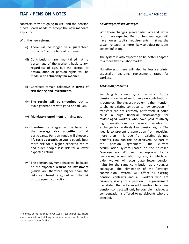contracts they are going to use, and the pension fund's Board needs to accept the new mandate explicitly.

With the new reform:

- (i) There will no longer be a guaranteed outcome<sup>14</sup> at the time of retirement.
- (ii) Contributions are maintained at a percentage of the worker's basic salary, regardless of age, but the accrual or accumulation of pension rights will be made in an **actuarially fair manner**.
- (iii) Contracts remain collective **in terms of risk sharing and investments**.
- (iv) **The results will be smoothed out** to avoid generations with good or bad luck.
- (v) **Mandatory enrollment** is maintained.
- (vi) Investment strategies will be based on the **average risk appetite** of all participants. Pension funds will choose a **life cycle approach**, so young people bear more risk for a higher expected return and older people less risk for a lower expected return.
- (vii)The pension payment phase will be based on the **expected returns on investment**  (which are therefore higher than the risk-free interest rate), but with the risk of subsequent corrections.

#### *Advantages/disadvantages*

With these changes, greater adequacy and better returns are expected. Pension fund managers will have lower capital requirements, making the system cheaper or more likely to adjust pensions against inflation.

The system is also expected to be better adapted to a more flexible labor market.

Nonetheless, there will also be less certainty, especially regarding replacement rates for workers.

#### *Transition problems*

Switching to a new system in which future pensions are based exclusively on contributions, is complex. The biggest problem is the intention to change existing contracts to new contracts. If transfers are not correctly performed, it could cause a huge financial disadvantage for middle-aged workers who have paid relatively high contributions for several decades, in exchange for relatively low pension rights. The idea is to prevent a generation from receiving more than it is due from existing defined benefits. How can this be achieved? As part of the pension agreement, the current accumulation system (based on the so-called "average accrual") will be replaced by a decreasing accumulation system, in which an older worker will accumulate fewer pension rights for the same contribution as a younger colleague. The elimination of the "average contribution" system will affect all existing pension contracts and all workers who are currently saving for a pension. The government has stated that a balanced transition to a new pension contract will only be possible if adequate compensation is offered to participants who are affected.

<sup>&</sup>lt;sup>14</sup> It must be noted that never was a real guarantee. There was a nominal fixed lifelong pension promise, but it could be cut in case of underfunding.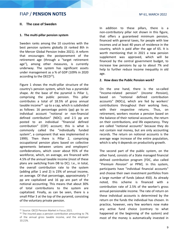## **II. The case of Sweden**

### **1. The multi-pillar pension system**

Sweden ranks among the 10 countries with the best pension systems globally (it ranked 8th in the Mercer Global Pension Index 2021). A reform that encourages the postponement of the retirement age (through a "target retirement age"), among other measures, is currently underway. The system has significant assets under management as a % of GDP (109% in 2020 according to the OECD $15$ ).

Figure 1 shows the multi-pillar structure of the country's pension system, which has a pyramidal shape. At the base of the pyramid is Pillar 1, comprising the public pension. This pillar contributes a total of 18.5% of gross annual taxable income<sup>16</sup> up to a cap, which is subdivided as follows: 16 percentage points (pp) go to an individual account "notional or non-financial defined contribution" (NDC); and 2.5 pp are posted to an individual "financial defined contribution" (CDF) account; this is what is commonly called the "individually funded system", a component that was implemented in 1999). Then there is Pillar 2, comprising occupational pension plans based on collective agreements between unions and employers' confederations, which cover about 95% of the workforce, which, on average, are financed with 4.5% of the annual taxable income (most of these plans are switching from DB to DC). I.e., in total, the overall contribution rate to the system (adding pillar 1 and 2) is 23% of annual income, on average. Of that percentage, approximately 7 pp are capitalized and 16 pp are part of the notional accounting. This means that about 30% of total contributions to the system are capitalized. Finally, as can be seen, there is a small Pillar 3 at the top of the pyramid, consisting of the voluntary private pension.

In addition to these pillars, there is a non-contributory pillar not shown in this figure, that offers a guaranteed minimum pension, financed with general taxes, for people with low incomes and at least 40 years of residence in the country, which is paid after the age of 65. It is worth mentioning that in 2021 a new pension supplement was approved, which will be financed by the central government budget, to increase low pensions by up to about 7% and help to further reduce income inequality in old age.

#### **2. How does the Public Pension work?**

On the one hand, there is the so-called "Income-related pension" (*Income Pension*), based on "notional defined contribution accounts" (NDCs), which are fed by workers' contributions throughout their working lives, with their respective returns. Thus, on retirement, workers receive a pension based on the balance of their notional accounts, the return on their contributions, and life expectancy. They are called "notional accounts" because they do not contain real money, but are only accounting records. The return on notional accounts is the average wage increase of the entire population, which is why it depends on productivity growth.

The second part of the public system, on the other hand, consists of a State managed financial defined contribution program [FDC, also called "*Premium Pension*" or PPM]. In this system, participants have "individual financial accounts" and choose their own investment portfolios from a large number of funds (about 450). As already noted, this scheme is financed with a contribution rate of 2.5% of the worker's gross annual pensionable income. The rate of return on these individual accounts is determined by the return on the funds the individual has chosen. In practice, however, very few workers now make any active fund choice (contrary to what happened at the beginning of the system) and most of the money is automatically invested in

<sup>15</sup> Source: OECD Pension Market in Focus 2021.

<sup>&</sup>lt;sup>16</sup> The insured pays a pension contribution amounting to 7% of the annual gross taxable income, and the employer 10.21%.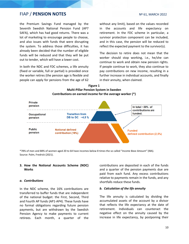#### Nº 61, MARCH 2022

the Premium Savings Fund managed by the Seventh Swedish National Pension Fund (AP7 SAFA), which has had good returns. There was a lot of marketing to encourage people to choose, and also issues with funds that were disrupting the system. To address those difficulties, it has already been decided that the number of eligible funds will be reduced and that they will be put out to tender, which will have a lower cost.

In both the NDC and FDC schemes, a life annuity (fixed or variable, full or partial) is provided once the worker retires (the pension age is flexible and people can apply for pensions from the age of 62 without any limit), based on the values recorded in the accounts and life expectancy on retirement. In the FDC scheme in particular, a survivor protection component can be included, and in this case, the pension will be reduced to reflect the expected payment to the survivor(s).

The decision to retire does not mean that the worker should stop working, i.e., he/she can continue to work and obtain new pension rights. If people continue to work, they also continue to pay contributions on new income, resulting in a further increase in individual accounts, and finally in their annuity, when claimed.



\*78% of men and 88% of women aged 20 to 64 have incomes below 8 times the so called "*Income Base Amount"* (IBA). Source: Palm, Fredrick (2021).

## **3. How the Notional Accounts Scheme (NDC) Works**

#### *a. Contributions*

In the NDC scheme, the 16% contributions are transferred to buffer funds that are independent of the national budget: the First, Second, Third and Fourth AP funds (AP1-AP4). These funds have no formal obligations regarding future pension payments, but are withdrawn by the Swedish Pension Agency to make payments to current retirees. Each month, a quarter of the contributions are deposited in each of the funds and a quarter of the pension payments due are paid from each fund. Any excess contributions relative to payments remain in the funds, and any shortfalls reduce these funds.

#### *b. Calculation of the life annuity*

The life annuity is calculated by dividing the accumulated assets of the account by a divisor that reflects the life expectancy at the date of retirement. Individuals can counteract the negative effect on the annuity caused by the increase in life expectancy, by postponing their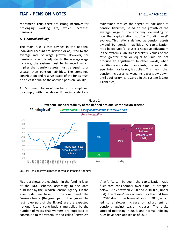#### Nº 61, MARCH 2022

retirement. Thus, there are strong incentives for prolonging working life, which increases pensions.

## *c. Financial stability*

The main rule is that savings in the notional individual account are indexed or adjusted to the average rate of wage growth. However, for pensions to be fully adjusted to the average wage increase, the system must be balanced, which implies that pension assets must be equal to or greater than pension liabilities. The combined contribution and reserve assets of the funds must be at least equal to the accrued pension liability.

An "automatic balance" mechanism is employed to comply with the above. Financial stability is maintained through the degree of indexation of pension liabilities, based on the growth of the average wage of the economy, depending on how the "capitalization ratio" or "funding level" evolves. This ratio is defined as pension assets divided by pension liabilities. A capitalization ratio below unit (1) causes a negative adjustment in the system's liabilities ("brake"). Values of the ratio greater than or equal to unit, do not produce an adjustment. In other words, when liabilities are greater than assets, the automatic equilibrium, or brake, is applied. This means that pension increases vs. wage increases slow down, until equilibrium is restored in the system (assets = liabilities).



Source: Pensionsmyndigheten (Swedish Pension Agency).

Figure 2 shows the evolution in the funding level of the NDC scheme, according to the data published by the Swedish Pension Agency. On the asset side, we have, on the one hand, the "reserve funds" (the green part of the figure). The rest (blue part of the figure) are the expected notional future contributions multiplied by the number of years that workers are supposed to contribute to the system (the so-called "*Turnover* 

*time*"). As can be seen, the capitalization ratio fluctuates considerably over time. It dropped below 100% between 2008 and 2010 (i.e., under unit). The "brake" was activated for the first time in 2010 due to the financial crisis of 2008, which led to a slower increase or adjustment of pensions against wage increases. The brake stopped operating in 2017, and normal indexing rules have been applied as of 2018.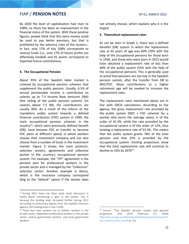By 2020 the level of capitalization had risen to 108%, so there has been an improvement in the financial status of the system. With these positive figures, people think that this extra money could be used to pay better pensions, but that is prohibited by the solvency rules of the system $_{17}$ . In fact, only 17% of this 108% corresponds to reserve funds (i.e., only 17% of future profits are effectively funded) and 91 points correspond to expected future contributions.

## **4. The Occupational Pension**

About 95% of the Swedish labor market is covered by occupational pension schemes that supplement the public pension. Usually, 4.5% of annual pensionable income is contributed on salaries up to 7.5 Income Base Amounts (IBA) [the ceiling of the public pension system]. On salaries above 7.5 IBA, the contributions are usually 30%. As a result of the reform of the mandatory public system towards a defined financial contribution (FDC) system in 1999, the main occupational pension schemes in the country<sup>18</sup>, which were previously defined benefit (DB), have become FDC or transfer to become FDC plans at different speed, in which workers choose their investment company and can also choose from a number of funds in the investment market. Figure 3 shows the main products, selection centers, agreements and collective parties in the country's occupational pension system. For example, the "ITP" agreement is the pension plan for professional workers in the private sector and is managed by the "Collectum" selection center. Another example is Alecta, which is the insurance company correspond ding to the "default" option if the worker does not actively choose, which explains why it is the largest.

#### **5. Theoretical replacement rates**

As can be seen in Graph 1, there was a defined benefits (DB) system in which the replacement rate at 65 years of age was 60% (70% with the help of the occupational pension) for those born in 1930, and those who were born in 2015 would have obtained a replacement rate of less than 40% of the public system (55% with the help of the occupational pension). This is generally used as proof that pensions are too low in the Swedish pension system, after the transfer from DB to NDC/FDC. More contributions or a higher retirement age will be needed to increase the replacement rates.

The replacement rates mentioned above are in line with OECD calculations. According to the agency, the gross replacement rate provided by the public system (NDC + FDC scheme) for a worker who earns the average salary, is of the order of 41.3%, while the rate provided by the occupational system is of the order of 12%, thus totaling a replacement rate of 53.3%. This means that the public system grants 78% of the total pension and that 22% is provided by the occupational system. Existing projections show that the total replacement rate will continue to decline to 33% by 2070 $^{19}$ .

<sup>&</sup>lt;sup>17</sup> During 2022 there has been quite much discussion in media about introducing a "gas" in the system. This is because the funding level increased further during 2021 (according to preliminary figures from the Swedish Pensions Agency, the funding level is now 112%).

<sup>&</sup>lt;sup>18</sup> These four main systems are as follows: workers in the private sector; dependent professional workers in the private sector; central government workers; and local government workers.

<sup>&</sup>lt;sup>19</sup> Source: "The Swedish pension system and pension projections until 2070 (February 15, 2018) [https://ec.europa.eu/info/sites/info/files/economy-finance/fi](https://ec.europa.eu/info/sites/info/files/economy-finance/final_country_fiche_se.pdf) [nal\\_country\\_fiche\\_se.pdf](https://ec.europa.eu/info/sites/info/files/economy-finance/final_country_fiche_se.pdf) (p. 22)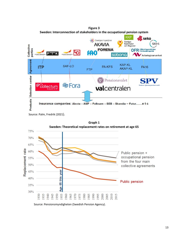

**Figure 3**

Source: Palm, Fredrik (2021).



**Graph 1**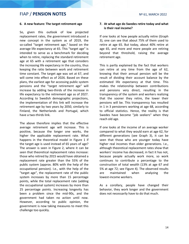## **6. A new feature: The target retirement age**

So, given this outlook of low projected replacement rates, the government introduced a new concept in the system as of 2019, the so-called "target retirement age," based on the average life expectancy at 65. This "target age" is intended to serve as a benchmark for deciding when to retire, replacing the standard retirement age at 65 with a retirement age that considers the increasing life expectancy in the country, thus keeping the ratio between work and retirement time constant. The target age was set at 67, and will come into effect as of 2026. Based on these plans, the earliest age for accessing public system pensions and the "target retirement age" will increase by adding two-thirds of the increase in life expectancy to the retirement age as of 2027. According to Swedish demographic projections, the implementation of this link will increase the retirement age by two years by 2050, similarly to Finland, the Netherlands and Portugal, which have a two-thirds link.

The above therefore implies that the effective average retirement age will increase. This is positive, because the longer one works, the higher the applicable replacement rate. What happens in the theoretical model in Figure 1 if the target age is used instead of 65 years of age? The answer is seen in Figure 2, where it can be seen that theoretical replacement rates increase: those who retired by 2015 would have obtained a replacement rate greater than the 55% of the public system (approx. 80% with the help of the occupational pension). I.e., with the help of the "target age", the replacement rate of the public system increases by more than 15 percentage points, while the total replacement rate (adding the occupational system) increases by more than 25 percentage points. Increasing longevity has been a problem since the mid-90s, and the government had taken no action until now. However, according to public opinion, the government is now taking measures to meet this challenge too quickly.

## **7. At what age do Swedes retire today and what is their real income?**

If one looks at how people actually retire (Graph 3), one can see that about 75% of them used to retire at age 65. But today, about 40% retire at age 65, and more and more people are retiring beyond that threshold, raising the average retirement age.

This is partly explained by the fact that workers can retire at any time from the age of 62, knowing that their annual pension will be the result of dividing their account balance by the estimated life expectancy at that time. This makes the relationship between contributions and pensions very direct, resulting in the transparency of the system and workers realizing that the sooner they retire, the lower their pensions will be. This transparency has resulted in 1 in 3 pensioners working at age 68, according to official statistics. Hence, the reality is that Swedes have become "job seekers" when they reach old age.

If one looks at the income of an average worker compared to what they would earn at age 62, for different generations (see Graph 3), it can be seen that those who are younger today have higher real incomes than older generations. I.e., although theoretical replacement rates show that workers' income has decreased, in fact it has not, because people actually work more, so work continues to contribute a percentage to the construction of total wealth (13% at age 67 and 5% at age 72; see Figure 4). The observed results are maintained when analyzing the lowest-income workers.

As a corollary, people have changed their behavior, they work longer and the government does not necessarily have to do that much.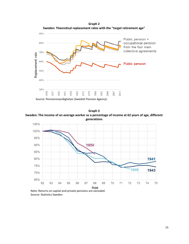

**Graph 2**

**Graph 3 Sweden: The income of an average worker as a percentage of income at 62 years of age, different generations**



Source: Statistics Sweden.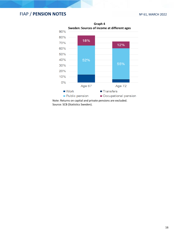

Source: SCB (Statistics Sweden).

**Graph 4 Sweden: Sources of income at different ages**

16